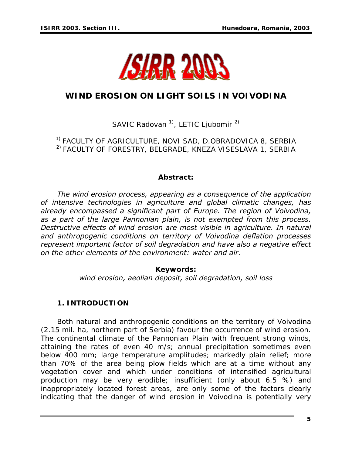

# **WIND EROSION ON LIGHT SOILS IN VOIVODINA**

SAVIC Radovan<sup>1</sup>, LETIC Ljubomir<sup>2)</sup>

1) FACULTY OF AGRICULTURE, NOVI SAD, D.OBRADOVICA 8, SERBIA 2) FACULTY OF FORESTRY, BELGRADE, KNEZA VISESLAVA 1, SERBIA

#### *Abstract:*

*The wind erosion process, appearing as a consequence of the application of intensive technologies in agriculture and global climatic changes, has already encompassed a significant part of Europe. The region of Voivodina, as a part of the large Pannonian plain, is not exempted from this process. Destructive effects of wind erosion are most visible in agriculture. In natural and anthropogenic conditions on territory of Voivodina deflation processes represent important factor of soil degradation and have also a negative effect on the other elements of the environment: water and air.* 

### *Keywords:*

*wind erosion, aeolian deposit, soil degradation, soil loss*

## **1. INTRODUCTION**

Both natural and anthropogenic conditions on the territory of Voivodina (2.15 mil. ha, northern part of Serbia) favour the occurrence of wind erosion. The continental climate of the Pannonian Plain with frequent strong winds, attaining the rates of even 40 m/s; annual precipitation sometimes even below 400 mm; large temperature amplitudes; markedly plain relief; more than 70% of the area being plow fields which are at a time without any vegetation cover and which under conditions of intensified agricultural production may be very erodible; insufficient (only about 6.5 %) and inappropriately located forest areas, are only some of the factors clearly indicating that the danger of wind erosion in Voivodina is potentially very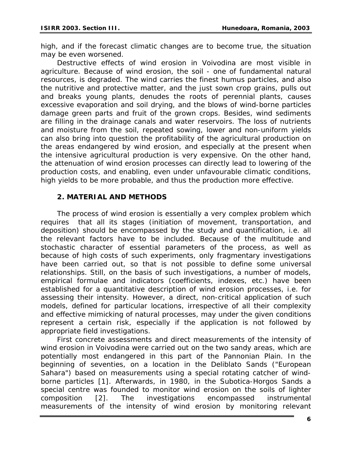high, and if the forecast climatic changes are to become true, the situation may be even worsened.

Destructive effects of wind erosion in Voivodina are most visible in agriculture. Because of wind erosion, the soil - one of fundamental natural resources, is degraded. The wind carries the finest humus particles, and also the nutritive and protective matter, and the just sown crop grains, pulls out and breaks young plants, denudes the roots of perennial plants, causes excessive evaporation and soil drying, and the blows of wind-borne particles damage green parts and fruit of the grown crops. Besides, wind sediments are filling in the drainage canals and water reservoirs. The loss of nutrients and moisture from the soil, repeated sowing, lower and non-uniform yields can also bring into question the profitability of the agricultural production on the areas endangered by wind erosion, and especially at the present when the intensive agricultural production is very expensive. On the other hand, the attenuation of wind erosion processes can directly lead to lowering of the production costs, and enabling, even under unfavourable climatic conditions, high yields to be more probable, and thus the production more effective.

#### **2. MATERIAL AND METHODS**

The process of wind erosion is essentially a very complex problem which requires that all its stages (initiation of movement, transportation, and deposition) should be encompassed by the study and quantification, i.e. all the relevant factors have to be included. Because of the multitude and stochastic character of essential parameters of the process, as well as because of high costs of such experiments, only fragmentary investigations have been carried out, so that is not possible to define some universal relationships. Still, on the basis of such investigations, a number of models, empirical formulae and indicators (coefficients, indexes, etc.) have been established for a quantitative description of wind erosion processes, i.e. for assessing their intensity. However, a direct, non-critical application of such models, defined for particular locations, irrespective of all their complexity and effective mimicking of natural processes, may under the given conditions represent a certain risk, especially if the application is not followed by appropriate field investigations.

First concrete assessments and direct measurements of the intensity of wind erosion in Voivodina were carried out on the two sandy areas, which are potentially most endangered in this part of the Pannonian Plain. In the beginning of seventies, on a location in the Deliblato Sands ("European Sahara") based on measurements using a special rotating catcher of windborne particles [1]. Afterwards, in 1980, in the Subotica-Horgos Sands a special centre was founded to monitor wind erosion on the soils of lighter composition [2]. The investigations encompassed instrumental measurements of the intensity of wind erosion by monitoring relevant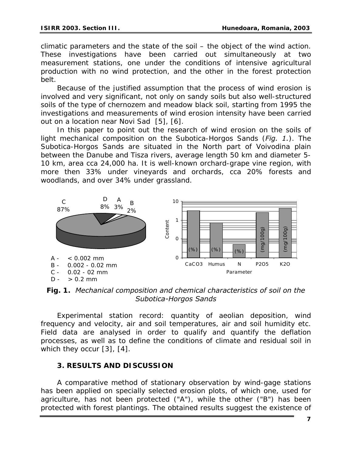climatic parameters and the state of the soil – the object of the wind action. These investigations have been carried out simultaneously at two measurement stations, one under the conditions of intensive agricultural production with no wind protection, and the other in the forest protection belt.

Because of the justified assumption that the process of wind erosion is involved and very significant, not only on sandy soils but also well-structured soils of the type of chernozem and meadow black soil, starting from 1995 the investigations and measurements of wind erosion intensity have been carried out on a location near Novi Sad [5], [6].

In this paper to point out the research of wind erosion on the soils of light mechanical composition on the Subotica-Horgos Sands (*Fig. 1.*). The Subotica-Horgos Sands are situated in the North part of Voivodina plain between the Danube and Tisza rivers, average length 50 km and diameter 5- 10 km, area cca 24,000 ha. It is well-known orchard-grape vine region, with more then 33% under vineyards and orchards, cca 20% forests and woodlands, and over 34% under grassland.



*Fig. 1. Mechanical composition and chemical characteristics of soil on the Subotica-Horgos Sands* 

Experimental station record: quantity of aeolian deposition, wind frequency and velocity, air and soil temperatures, air and soil humidity etc. Field data are analysed in order to qualify and quantify the deflation processes, as well as to define the conditions of climate and residual soil in which they occur [3], [4].

# **3. RESULTS AND DISCUSSION**

A comparative method of stationary observation by wind-gage stations has been applied on specially selected erosion plots, of which one, used for agriculture, has not been protected ("A"), while the other ("B") has been protected with forest plantings. The obtained results suggest the existence of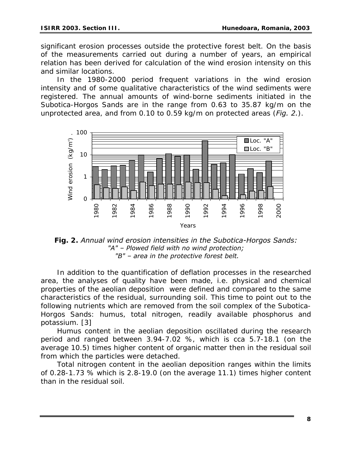significant erosion processes outside the protective forest belt. On the basis of the measurements carried out during a number of years, an empirical relation has been derived for calculation of the wind erosion intensity on this and similar locations.

In the 1980-2000 period frequent variations in the wind erosion intensity and of some qualitative characteristics of the wind sediments were registered. The annual amounts of wind-borne sediments initiated in the Subotica-Horgos Sands are in the range from 0.63 to 35.87 kg/m on the unprotected area, and from 0.10 to 0.59 kg/m on protected areas (*Fig. 2.*).



*Fig. 2. Annual wind erosion intensities in the Subotica-Horgos Sands: "A" – Plowed field with no wind protection; "B" – area in the protective forest belt.* 

In addition to the quantification of deflation processes in the researched area, the analyses of quality have been made, i.e. physical and chemical properties of the aeolian deposition were defined and compared to the same characteristics of the residual, surrounding soil. This time to point out to the following nutrients which are removed from the soil complex of the Subotica-Horgos Sands: humus, total nitrogen, readily available phosphorus and potassium. [3]

Humus content in the aeolian deposition oscillated during the research period and ranged between 3.94-7.02 %, which is cca 5.7-18.1 (on the average 10.5) times higher content of organic matter then in the residual soil from which the particles were detached.

Total nitrogen content in the aeolian deposition ranges within the limits of 0.28-1.73 % which is 2.8-19.0 (on the average 11.1) times higher content than in the residual soil.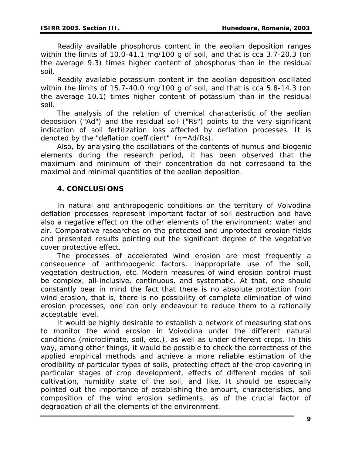Readily available phosphorus content in the aeolian deposition ranges within the limits of 10.0-41.1 mg/100 g of soil, and that is cca 3.7-20.3 (on the average 9.3) times higher content of phosphorus than in the residual soil.

Readily available potassium content in the aeolian deposition oscillated within the limits of 15.7-40.0 mg/100 g of soil, and that is cca 5.8-14.3 (on the average 10.1) times higher content of potassium than in the residual soil.

The analysis of the relation of chemical characteristic of the aeolian deposition ("Ad") and the residual soil ("Rs") points to the very significant indication of soil fertilization loss affected by deflation processes. It is denoted by the "deflation coefficient" (η=Ad/Rs).

Also, by analysing the oscillations of the contents of humus and biogenic elements during the research period, it has been observed that the maximum and minimum of their concentration do not correspond to the maximal and minimal quantities of the aeolian deposition.

# **4. CONCLUSIONS**

In natural and anthropogenic conditions on the territory of Voivodina deflation processes represent important factor of soil destruction and have also a negative effect on the other elements of the environment: water and air. Comparative researches on the protected and unprotected erosion fields and presented results pointing out the significant degree of the vegetative cover protective effect.

The processes of accelerated wind erosion are most frequently a consequence of anthropogenic factors, inappropriate use of the soil, vegetation destruction, etc. Modern measures of wind erosion control must be complex, all-inclusive, continuous, and systematic. At that, one should constantly bear in mind the fact that there is no absolute protection from wind erosion, that is, there is no possibility of complete elimination of wind erosion processes, one can only endeavour to reduce them to a rationally acceptable level.

It would be highly desirable to establish a network of measuring stations to monitor the wind erosion in Voivodina under the different natural conditions (microclimate, soil, etc.), as well as under different crops. In this way, among other things, it would be possible to check the correctness of the applied empirical methods and achieve a more reliable estimation of the erodibility of particular types of soils, protecting effect of the crop covering in particular stages of crop development, effects of different modes of soil cultivation, humidity state of the soil, and like. It should be especially pointed out the importance of establishing the amount, characteristics, and composition of the wind erosion sediments, as of the crucial factor of degradation of all the elements of the environment.